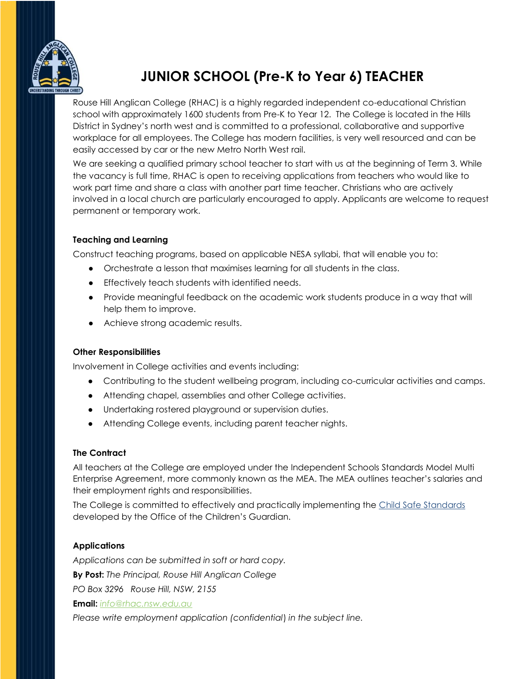

# **JUNIOR SCHOOL (Pre-K to Year 6) TEACHER**

Rouse Hill Anglican College (RHAC) is a highly regarded independent co-educational Christian school with approximately 1600 students from Pre-K to Year 12. The College is located in the Hills District in Sydney's north west and is committed to a professional, collaborative and supportive workplace for all employees. The College has modern facilities, is very well resourced and can be easily accessed by car or the new Metro North West rail.

We are seeking a qualified primary school teacher to start with us at the beginning of Term 3. While the vacancy is full time, RHAC is open to receiving applications from teachers who would like to work part time and share a class with another part time teacher. Christians who are actively involved in a local church are particularly encouraged to apply. Applicants are welcome to request permanent or temporary work.

### **Teaching and Learning**

Construct teaching programs, based on applicable NESA syllabi, that will enable you to:

- Orchestrate a lesson that maximises learning for all students in the class.
- Effectively teach students with identified needs.
- Provide meaningful feedback on the academic work students produce in a way that will help them to improve.
- Achieve strong academic results.

#### **Other Responsibilities**

Involvement in College activities and events including:

- Contributing to the student wellbeing program, including co-curricular activities and camps.
- Attending chapel, assemblies and other College activities.
- Undertaking rostered playground or supervision duties.
- Attending College events, including parent teacher nights.

## **The Contract**

All teachers at the College are employed under the Independent Schools Standards Model Multi Enterprise Agreement, more commonly known as the MEA. The MEA outlines teacher's salaries and their employment rights and responsibilities.

The College is committed to effectively and practically implementing the Child [Safe Standards](https://ocg.nsw.gov.au/sites/default/files/2021-12/g_CSS_GuidetotheStandards.pdf?Embed=Y) developed by the Office of the Children's Guardian.

## **Applications**

*Applications can be submitted in soft or hard copy.* **By Post:** *The Principal, Rouse Hill Anglican College PO Box 3296 Rouse Hill, NSW, 2155* **Email:** *[info@rhac.nsw.edu.au](mailto:info@rhac.nsw.edu.au)*

*Please write employment application (confidential*) *in the subject line.*